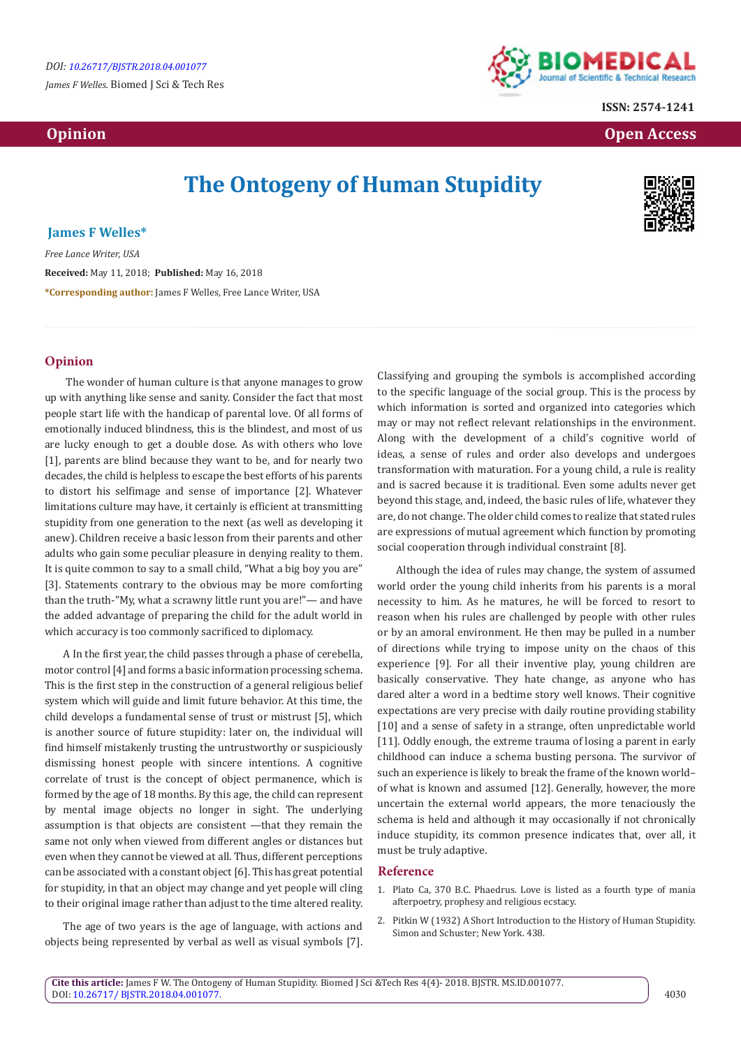*James F Welles.* Biomed J Sci & Tech Res



**ISSN: 2574-1241**

 **Opinion Open Access** 

# **The Ontogeny of Human Stupidity**



## **James F Welles\***

*Free Lance Writer, USA* **Received:** May 11, 2018; **Published:** May 16, 2018 **\*Corresponding author:** James F Welles, Free Lance Writer, USA

### **Opinion**

The wonder of human culture is that anyone manages to grow up with anything like sense and sanity. Consider the fact that most people start life with the handicap of parental love. Of all forms of emotionally induced blindness, this is the blindest, and most of us are lucky enough to get a double dose. As with others who love [1], parents are blind because they want to be, and for nearly two decades, the child is helpless to escape the best efforts of his parents to distort his selfimage and sense of importance [2]. Whatever limitations culture may have, it certainly is efficient at transmitting stupidity from one generation to the next (as well as developing it anew). Children receive a basic lesson from their parents and other adults who gain some peculiar pleasure in denying reality to them. It is quite common to say to a small child, "What a big boy you are" [3]. Statements contrary to the obvious may be more comforting than the truth-"My, what a scrawny little runt you are!"— and have the added advantage of preparing the child for the adult world in which accuracy is too commonly sacrificed to diplomacy.

A In the first year, the child passes through a phase of cerebella, motor control [4] and forms a basic information processing schema. This is the first step in the construction of a general religious belief system which will guide and limit future behavior. At this time, the child develops a fundamental sense of trust or mistrust [5], which is another source of future stupidity: later on, the individual will find himself mistakenly trusting the untrustworthy or suspiciously dismissing honest people with sincere intentions. A cognitive correlate of trust is the concept of object permanence, which is formed by the age of 18 months. By this age, the child can represent by mental image objects no longer in sight. The underlying assumption is that objects are consistent —that they remain the same not only when viewed from different angles or distances but even when they cannot be viewed at all. Thus, different perceptions can be associated with a constant object [6]. This has great potential for stupidity, in that an object may change and yet people will cling to their original image rather than adjust to the time altered reality.

The age of two years is the age of language, with actions and objects being represented by verbal as well as visual symbols [7]. Classifying and grouping the symbols is accomplished according to the specific language of the social group. This is the process by which information is sorted and organized into categories which may or may not reflect relevant relationships in the environment. Along with the development of a child's cognitive world of ideas, a sense of rules and order also develops and undergoes transformation with maturation. For a young child, a rule is reality and is sacred because it is traditional. Even some adults never get beyond this stage, and, indeed, the basic rules of life, whatever they are, do not change. The older child comes to realize that stated rules are expressions of mutual agreement which function by promoting social cooperation through individual constraint [8].

Although the idea of rules may change, the system of assumed world order the young child inherits from his parents is a moral necessity to him. As he matures, he will be forced to resort to reason when his rules are challenged by people with other rules or by an amoral environment. He then may be pulled in a number of directions while trying to impose unity on the chaos of this experience [9]. For all their inventive play, young children are basically conservative. They hate change, as anyone who has dared alter a word in a bedtime story well knows. Their cognitive expectations are very precise with daily routine providing stability [10] and a sense of safety in a strange, often unpredictable world [11]. Oddly enough, the extreme trauma of losing a parent in early childhood can induce a schema busting persona. The survivor of such an experience is likely to break the frame of the known world– of what is known and assumed [12]. Generally, however, the more uncertain the external world appears, the more tenaciously the schema is held and although it may occasionally if not chronically induce stupidity, its common presence indicates that, over all, it must be truly adaptive.

#### **Reference**

- 1. Plato Ca, 370 B.C. Phaedrus. Love is listed as a fourth type of mania afterpoetry, prophesy and religious ecstacy.
- 2. [Pitkin W \(1932\) A Short Introduction to the History of Human Stupidity.](https://archive.org/details/in.ernet.dli.2015.221741) [Simon and Schuster; New York. 438.](https://archive.org/details/in.ernet.dli.2015.221741)